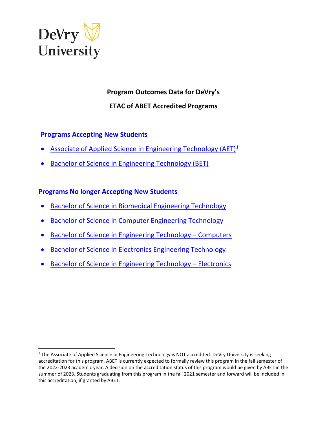

**Program Outcomes Data for DeVry's ETAC of ABET Accredited Programs**

# **Programs Accepting New Students**

- Associate of Applied Science in Engineering Technology ( $AET$ )<sup>[1](#page-0-0)</sup>
- [Bachelor of Science in Engineering Technology \(BET\)](#page-3-0)

# **Programs No longer Accepting New Students**

- [Bachelor of Science in Biomedical Engineering Technology](#page-5-0)
- [Bachelor of Science in Computer Engineering Technology](#page-9-0)
- [Bachelor of Science in Engineering Technology Computers](#page-9-0)
- [Bachelor of Science in Electronics Engineering Technology](#page-13-0)
- [Bachelor of Science in Engineering Technology Electronics](#page-13-0)

<span id="page-0-0"></span><sup>&</sup>lt;sup>1</sup> The Associate of Applied Science in Engineering Technology is NOT accredited. DeVry University is seeking accreditation for this program. ABET is currently expected to formally review this program in the fall semester of the 2022-2023 academic year. A decision on the accreditation status of this program would be given by ABET in the summer of 2023. Students graduating from this program in the fall 2021 semester and forward will be included in this accreditation, if granted by ABET.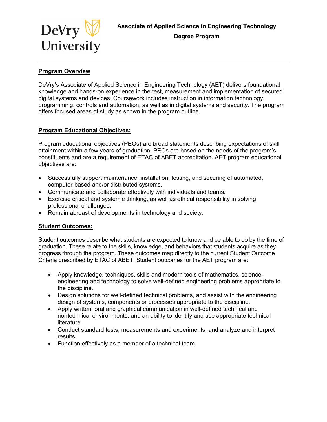<span id="page-1-0"></span>

## **Program Overview**

DeVry's Associate of Applied Science in Engineering Technology (AET) delivers foundational knowledge and hands-on experience in the test, measurement and implementation of secured digital systems and devices. Coursework includes instruction in information technology, programming, controls and automation, as well as in digital systems and security. The program offers focused areas of study as shown in the program outline.

## **Program Educational Objectives:**

Program educational objectives (PEOs) are broad statements describing expectations of skill attainment within a few years of graduation. PEOs are based on the needs of the program's constituents and are a requirement of ETAC of ABET accreditation. AET program educational objectives are:

- Successfully support maintenance, installation, testing, and securing of automated, computer-based and/or distributed systems.
- Communicate and collaborate effectively with individuals and teams.
- Exercise critical and systemic thinking, as well as ethical responsibility in solving professional challenges.
- Remain abreast of developments in technology and society.

# **Student Outcomes:**

Student outcomes describe what students are expected to know and be able to do by the time of graduation. These relate to the skills, knowledge, and behaviors that students acquire as they progress through the program. These outcomes map directly to the current Student Outcome Criteria prescribed by ETAC of ABET. Student outcomes for the AET program are:

- Apply knowledge, techniques, skills and modern tools of mathematics, science, engineering and technology to solve well-defined engineering problems appropriate to the discipline.
- Design solutions for well-defined technical problems, and assist with the engineering design of systems, components or processes appropriate to the discipline.
- Apply written, oral and graphical communication in well-defined technical and nontechnical environments, and an ability to identify and use appropriate technical literature.
- Conduct standard tests, measurements and experiments, and analyze and interpret results.
- Function effectively as a member of a technical team.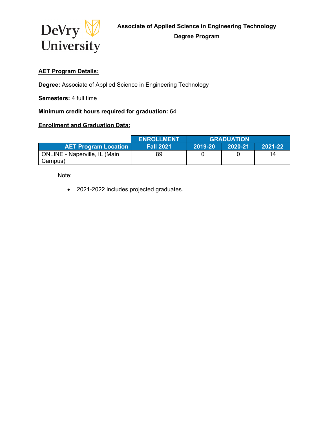

# **AET Program Details:**

**Degree:** Associate of Applied Science in Engineering Technology

**Semesters:** 4 full time

## **Minimum credit hours required for graduation:** 64

## **Enrollment and Graduation Data:**

|                                                 | <b>ENROLLMENT</b> | <b>GRADUATION</b> |         |         |
|-------------------------------------------------|-------------------|-------------------|---------|---------|
| <b>AET Program Location</b>                     | <b>Fall 2021</b>  | 2019-20           | 2020-21 | 2021-22 |
| <b>ONLINE - Naperville, IL (Main</b><br>Campus) | 89                |                   |         | 14      |

Note:

• 2021-2022 includes projected graduates.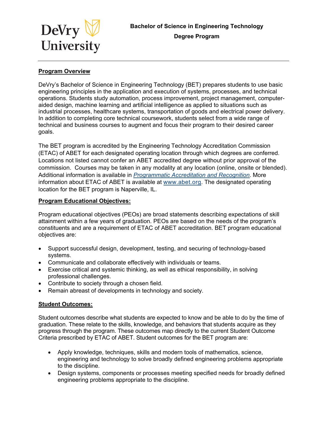<span id="page-3-0"></span>

## **Program Overview**

DeVry's Bachelor of Science in Engineering Technology (BET) prepares students to use basic engineering principles in the application and execution of systems, processes, and technical operations. Students study automation, process improvement, project management, computeraided design, machine learning and artificial intelligence as applied to situations such as industrial processes, healthcare systems, transportation of goods and electrical power delivery. In addition to completing core technical coursework, students select from a wide range of technical and business courses to augment and focus their program to their desired career goals.

The BET program is accredited by the Engineering Technology Accreditation Commission (ETAC) of ABET for each designated operating location through which degrees are conferred. Locations not listed cannot confer an ABET accredited degree without prior approval of the commission. Courses may be taken in any modality at any location (online, onsite or blended). Additional information is available in *[Programmatic Accreditation and Recognition](https://www.devry.edu/about/accreditation.html?intcmp=Home_midbotink_accreditation)*. More information about ETAC of ABET is available at [www.abet.org.](https://www.abet.org/) The designated operating location for the BET program is Naperville, IL.

## **Program Educational Objectives:**

Program educational objectives (PEOs) are broad statements describing expectations of skill attainment within a few years of graduation. PEOs are based on the needs of the program's constituents and are a requirement of ETAC of ABET accreditation. BET program educational objectives are:

- Support successful design, development, testing, and securing of technology-based systems.
- Communicate and collaborate effectively with individuals or teams.
- Exercise critical and systemic thinking, as well as ethical responsibility, in solving professional challenges.
- Contribute to society through a chosen field.
- Remain abreast of developments in technology and society.

## **Student Outcomes:**

Student outcomes describe what students are expected to know and be able to do by the time of graduation. These relate to the skills, knowledge, and behaviors that students acquire as they progress through the program. These outcomes map directly to the current Student Outcome Criteria prescribed by ETAC of ABET. Student outcomes for the BET program are:

- Apply knowledge, techniques, skills and modern tools of mathematics, science, engineering and technology to solve broadly defined engineering problems appropriate to the discipline.
- Design systems, components or processes meeting specified needs for broadly defined engineering problems appropriate to the discipline.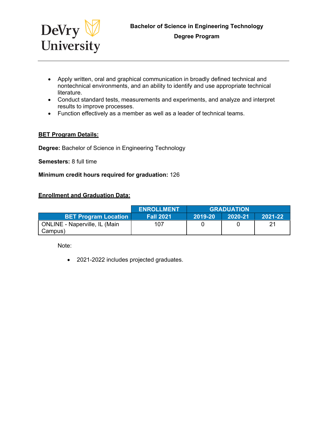

- Apply written, oral and graphical communication in broadly defined technical and nontechnical environments, and an ability to identify and use appropriate technical literature.
- Conduct standard tests, measurements and experiments, and analyze and interpret results to improve processes.
- Function effectively as a member as well as a leader of technical teams.

## **BET Program Details:**

**Degree:** Bachelor of Science in Engineering Technology

**Semesters:** 8 full time

#### **Minimum credit hours required for graduation:** 126

## **Enrollment and Graduation Data:**

|                                                 | <b>ENROLLMENT</b> | <b>GRADUATION</b> |         |         |
|-------------------------------------------------|-------------------|-------------------|---------|---------|
| <b>BET Program Location</b>                     | <b>Fall 2021</b>  | $ 2019-20\rangle$ | 2020-21 | 2021-22 |
| <b>ONLINE - Naperville, IL (Main</b><br>Campus) | 107               |                   |         |         |

Note:

• 2021-2022 includes projected graduates.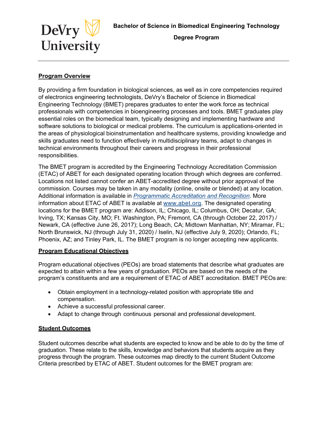

<span id="page-5-0"></span>

**Degree Program** 

## **Program Overview**

By providing a firm foundation in biological sciences, as well as in core competencies required of electronics engineering technologists, DeVry's Bachelor of Science in Biomedical Engineering Technology (BMET) prepares graduates to enter the work force as technical professionals with competencies in bioengineering processes and tools. BMET graduates play essential roles on the biomedical team, typically designing and implementing hardware and software solutions to biological or medical problems. The curriculum is applications-oriented in the areas of physiological bioinstrumentation and healthcare systems, providing knowledge and skills graduates need to function effectively in multidisciplinary teams, adapt to changes in technical environments throughout their careers and progress in their professional responsibilities.

The BMET program is accredited by the Engineering Technology Accreditation Commission (ETAC) of ABET for each designated operating location through which degrees are conferred. Locations not listed cannot confer an ABET-accredited degree without prior approval of the commission. Courses may be taken in any modality (online, onsite or blended) at any location. Additional information is available in *[Programmatic Accreditation and Recognition](https://www.devry.edu/about/accreditation.html?intcmp=Home_midbotink_accreditation)*. More information about ETAC of ABET is available at [www.abet.org.](https://www.abet.org/) The designated operating locations for the BMET program are: Addison, IL; Chicago, IL; Columbus, OH; Decatur, GA; Irving, TX; Kansas City, MO; Ft. Washington, PA; Fremont, CA (through October 22, 2017) / Newark, CA (effective June 26, 2017); Long Beach, CA; Midtown Manhattan, NY; Miramar, FL; North Brunswick, NJ (through July 31, 2020) / Iselin, NJ (effective July 9, 2020); Orlando, FL; Phoenix, AZ; and Tinley Park, IL. The BMET program is no longer accepting new applicants.

## **Program Educational Objectives**

Program educational objectives (PEOs) are broad statements that describe what graduates are expected to attain within a few years of graduation. PEOs are based on the needs of the program's constituents and are a requirement of ETAC of ABET accreditation. BMET PEOs are:

- Obtain employment in a technology-related position with appropriate title and compensation.
- Achieve a successful professional career.
- Adapt to change through continuous personal and professional development.

## **Student Outcomes**

Student outcomes describe what students are expected to know and be able to do by the time of graduation. These relate to the skills, knowledge and behaviors that students acquire as they progress through the program. These outcomes map directly to the current Student Outcome Criteria prescribed by ETAC of ABET. Student outcomes for the BMET program are: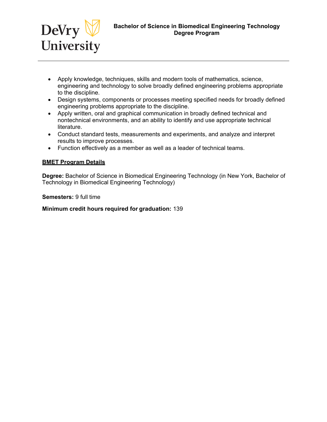

- Apply knowledge, techniques, skills and modern tools of mathematics, science, engineering and technology to solve broadly defined engineering problems appropriate to the discipline.
- Design systems, components or processes meeting specified needs for broadly defined engineering problems appropriate to the discipline.
- Apply written, oral and graphical communication in broadly defined technical and nontechnical environments, and an ability to identify and use appropriate technical literature.
- Conduct standard tests, measurements and experiments, and analyze and interpret results to improve processes.
- Function effectively as a member as well as a leader of technical teams.

## **BMET Program Details**

**Degree:** Bachelor of Science in Biomedical Engineering Technology (in New York, Bachelor of Technology in Biomedical Engineering Technology)

**Semesters:** 9 full time

#### **Minimum credit hours required for graduation:** 139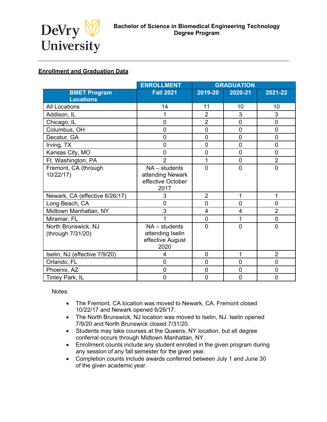

## **Enrollment and Graduation Data**

|                                          | <b>ENROLLMENT</b>                                                | <b>GRADUATION</b> |                |                |
|------------------------------------------|------------------------------------------------------------------|-------------------|----------------|----------------|
| <b>BMET Program</b>                      | <b>Fall 2021</b>                                                 | 2019-20           | 2020-21        | 2021-22        |
| <b>Locations</b>                         |                                                                  |                   |                |                |
| <b>All Locations</b>                     | 14                                                               | 11                | 10             | 10             |
| Addison, IL                              | 1                                                                | $\overline{2}$    | 3              | 3              |
| Chicago, IL                              | 0                                                                | $\overline{2}$    | $\overline{0}$ | 0              |
| Columbus, OH                             | 0                                                                | $\mathbf 0$       | $\mathbf 0$    | 0              |
| Decatur, GA                              | 0                                                                | $\mathbf 0$       | $\mathbf 0$    | $\overline{0}$ |
| Irving, TX                               | $\mathbf 0$                                                      | $\mathbf 0$       | $\mathbf 0$    | $\mathbf 0$    |
| Kansas City, MO                          | $\overline{0}$                                                   | $\overline{0}$    | $\overline{0}$ | $\overline{0}$ |
| Ft. Washington, PA                       | $\overline{2}$                                                   | 1                 | $\mathbf 0$    | $\overline{2}$ |
| Fremont, CA (through<br>10/22/17)        | $NA - students$<br>attending Newark<br>effective October<br>2017 | $\overline{0}$    | $\overline{0}$ | $\overline{0}$ |
| Newark, CA (effective 6/26/17)           | 3                                                                | $\overline{2}$    | 1              | 1              |
| Long Beach, CA                           | $\mathbf 0$                                                      | $\mathbf 0$       | $\mathbf 0$    | $\mathbf 0$    |
| Midtown Manhattan, NY                    | 3                                                                | $\overline{4}$    | 4              | $\overline{2}$ |
| Miramar, FL                              |                                                                  | $\mathbf 0$       | 1              | $\mathbf 0$    |
| North Brunswick, NJ<br>(through 7/31/20) | $NA - students$<br>attending Iselin<br>effective August<br>2020  | $\overline{0}$    | $\overline{0}$ | $\overline{0}$ |
| Iselin, NJ (effective 7/9/20)            | 4                                                                | $\overline{0}$    | 1              | $\overline{2}$ |
| Orlando, FL                              | 0                                                                | $\mathbf 0$       | $\mathbf 0$    | $\mathbf 0$    |
| Phoenix, AZ                              | 0                                                                | $\overline{0}$    | $\overline{0}$ | $\overline{0}$ |
| Tinley Park, IL                          | 0                                                                | $\mathbf 0$       | $\mathbf 0$    | $\mathbf 0$    |

Notes:

- The Fremont, CA location was moved to Newark, CA. Fremont closed 10/22/17 and Newark opened 6/26/17.
- The North Brunswick, NJ location was moved to Iselin, NJ. Iselin opened 7/9/20 and North Brunswick closed 7/31/20.
- Students may take courses at the Queens, NY location, but all degree conferral occurs through Midtown Manhattan, NY.
- Enrollment counts include any student enrolled in the given program during any session of any fall semester for the given year.
- Completion counts include awards conferred between July 1 and June 30 of the given academic year.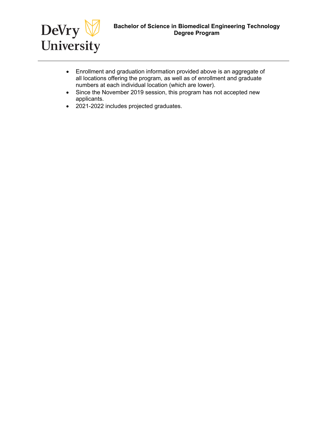

- Enrollment and graduation information provided above is an aggregate of all locations offering the program, as well as of enrollment and graduate numbers at each individual location (which are lower).
- Since the November 2019 session, this program has not accepted new applicants.
- 2021-2022 includes projected graduates.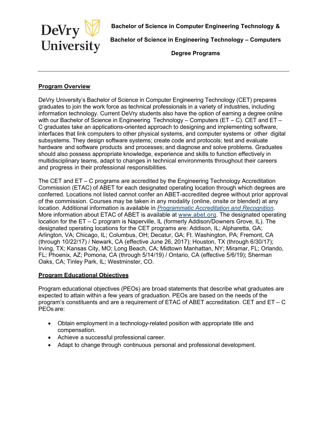<span id="page-9-0"></span>

**Bachelor of Science in Engineering Technology – Computers**

**Degree Programs**

## **Program Overview**

DeVry University's Bachelor of Science in Computer Engineering Technology (CET) prepares graduates to join the work force as technical professionals in a variety of industries, including information technology. Current DeVry students also have the option of earning a degree online with our Bachelor of Science in Engineering Technology – Computers (ET – C). CET and ET – C graduates take an applications-oriented approach to designing and implementing software, interfaces that link computers to other physical systems, and computer systems or other digital subsystems. They design software systems; create code and protocols; test and evaluate hardware and software products and processes; and diagnose and solve problems. Graduates should also possess appropriate knowledge, experience and skills to function effectively in multidisciplinary teams, adapt to changes in technical environments throughout their careers and progress in their professional responsibilities.

The CET and ET – C programs are accredited by the Engineering Technology Accreditation Commission (ETAC) of ABET for each designated operating location through which degrees are conferred. Locations not listed cannot confer an ABET-accredited degree without prior approval of the commission. Courses may be taken in any modality (online, onsite or blended) at any location. Additional information is available in *[Programmatic Accreditation and Recognition](https://www.devry.edu/about/accreditation.html?intcmp=Home_midbotink_accreditation)*. More information about ETAC of ABET is available at [www.abet.org.](https://www.abet.org/) The designated operating location for the ET – C program is Naperville, IL (formerly Addison/Downers Grove, IL). The designated operating locations for the CET programs are: Addison, IL; Alpharetta, GA; Arlington, VA; Chicago, IL; Columbus, OH; Decatur, GA; Ft. Washington, PA; Fremont, CA (through 10/22/17) / Newark, CA (effective June 26, 2017); Houston, TX (through 6/30/17); Irving, TX; Kansas City, MO; Long Beach, CA; Midtown Manhattan, NY; Miramar, FL; Orlando, FL; Phoenix, AZ; Pomona, CA (through 5/14/19) / Ontario, CA (effective 5/6/19); Sherman Oaks, CA; Tinley Park, IL; Westminster, CO.

## **Program Educational Objectives**

Program educational objectives (PEOs) are broad statements that describe what graduates are expected to attain within a few years of graduation. PEOs are based on the needs of the program's constituents and are a requirement of ETAC of ABET accreditation. CET and ET – C PEOs are:

- Obtain employment in a technology-related position with appropriate title and compensation.
- Achieve a successful professional career.
- Adapt to change through continuous personal and professional development.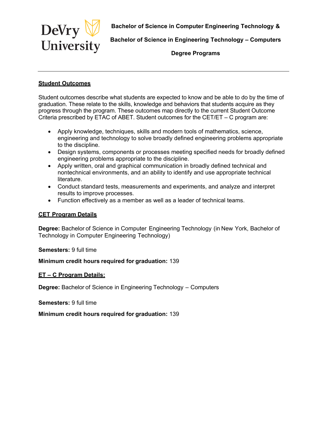

**Bachelor of Science in Engineering Technology – Computers**

**Degree Programs**

## **Student Outcomes**

Student outcomes describe what students are expected to know and be able to do by the time of graduation. These relate to the skills, knowledge and behaviors that students acquire as they progress through the program. These outcomes map directly to the current Student Outcome Criteria prescribed by ETAC of ABET. Student outcomes for the CET/ET – C program are:

- Apply knowledge, techniques, skills and modern tools of mathematics, science, engineering and technology to solve broadly defined engineering problems appropriate to the discipline.
- Design systems, components or processes meeting specified needs for broadly defined engineering problems appropriate to the discipline.
- Apply written, oral and graphical communication in broadly defined technical and nontechnical environments, and an ability to identify and use appropriate technical literature.
- Conduct standard tests, measurements and experiments, and analyze and interpret results to improve processes.
- Function effectively as a member as well as a leader of technical teams.

## **CET Program Details**

**Degree:** Bachelor of Science in Computer Engineering Technology (in New York, Bachelor of Technology in Computer Engineering Technology)

#### **Semesters:** 9 full time

## **Minimum credit hours required for graduation:** 139

#### **ET – C Program Details:**

**Degree:** Bachelor of Science in Engineering Technology – Computers

#### **Semesters:** 9 full time

## **Minimum credit hours required for graduation:** 139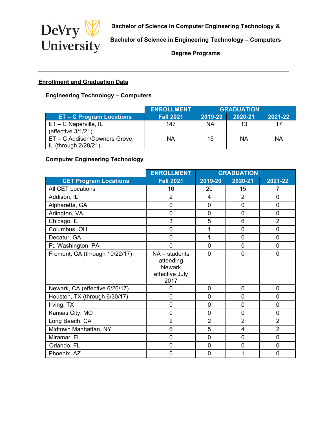

**Bachelor of Science in Engineering Technology – Computers**

**Degree Programs**

# **Enrollment and Graduation Data**

# **Engineering Technology – Computers**

|                               | <b>ENROLLMENT</b> | <b>GRADUATION</b> |         |         |
|-------------------------------|-------------------|-------------------|---------|---------|
| <b>ET-C Program Locations</b> | <b>Fall 2021</b>  | 2019-20           | 2020-21 | 2021-22 |
| $ET - C$ Naperville, IL       | 147               | <b>NA</b>         | 13      | 17      |
| (effective 3/1/21)            |                   |                   |         |         |
| ET - C Addison/Downers Grove, | NA                | 15                | ΝA      | ΝA      |
| IL (through 2/28/21)          |                   |                   |         |         |

## **Computer Engineering Technology**

|                                | <b>ENROLLMENT</b>                                                       | <b>GRADUATION</b> |                |                |
|--------------------------------|-------------------------------------------------------------------------|-------------------|----------------|----------------|
| <b>CET Program Locations</b>   | <b>Fall 2021</b>                                                        | 2019-20           | 2020-21        | 2021-22        |
| <b>All CET Locations</b>       | 16                                                                      | 20                | 15             | 7              |
| Addison, IL                    | $\overline{2}$                                                          | $\overline{4}$    | $\overline{2}$ | $\overline{0}$ |
| Alpharetta, GA                 | $\overline{0}$                                                          | $\overline{0}$    | $\overline{0}$ | $\overline{0}$ |
| Arlington, VA                  | $\mathbf 0$                                                             | 0                 | $\overline{0}$ | $\overline{0}$ |
| Chicago, IL                    | 3                                                                       | 5                 | 6              | $\overline{2}$ |
| Columbus, OH                   | 0                                                                       | 1                 | $\overline{0}$ | 0              |
| Decatur, GA                    | 0                                                                       |                   | $\overline{0}$ | 0              |
| Ft. Washington, PA             | $\overline{0}$                                                          | $\overline{0}$    | $\overline{0}$ | $\overline{0}$ |
| Fremont, CA (through 10/22/17) | $NA - students$<br>attending<br><b>Newark</b><br>effective July<br>2017 | 0                 | 0              | 0              |
| Newark, CA (effective 6/26/17) | 0                                                                       | $\overline{0}$    | $\overline{0}$ | 0              |
| Houston, TX (through 6/30/17)  | $\overline{0}$                                                          | 0                 | $\overline{0}$ | 0              |
| Irving, TX                     | $\mathbf 0$                                                             | $\mathbf 0$       | $\mathbf 0$    | 0              |
| Kansas City, MO                | $\overline{0}$                                                          | $\overline{0}$    | $\overline{0}$ | 0              |
| Long Beach, CA                 | $\overline{2}$                                                          | $\overline{2}$    | $\overline{2}$ | $\overline{2}$ |
| Midtown Manhattan, NY          | 6                                                                       | 5                 | $\overline{4}$ | $\overline{2}$ |
| Miramar, FL                    | 0                                                                       | 0                 | $\mathbf 0$    | 0              |
| Orlando, FL                    | $\mathbf 0$                                                             | $\mathbf 0$       | $\mathbf 0$    | 0              |
| Phoenix, AZ                    | $\mathbf 0$                                                             | 0                 |                | $\mathbf 0$    |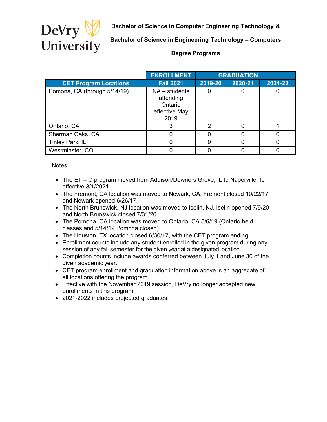

**Bachelor of Science in Engineering Technology – Computers**

## **Degree Programs**

|                              | <b>ENROLLMENT</b>                                                | <b>GRADUATION</b> |         |         |
|------------------------------|------------------------------------------------------------------|-------------------|---------|---------|
| <b>CET Program Locations</b> | <b>Fall 2021</b>                                                 | 2019-20           | 2020-21 | 2021-22 |
| Pomona, CA (through 5/14/19) | $NA - students$<br>attending<br>Ontario<br>effective May<br>2019 |                   |         |         |
| Ontario, CA                  |                                                                  | 2                 |         |         |
| Sherman Oaks, CA             |                                                                  |                   |         |         |
| Tinley Park, IL              |                                                                  |                   |         |         |
| Westminster, CO              |                                                                  |                   |         |         |

Notes:

- The ET C program moved from Addison/Downers Grove, IL to Naperville, IL effective 3/1/2021.
- The Fremont, CA location was moved to Newark, CA. Fremont closed 10/22/17 and Newark opened 6/26/17.
- The North Brunswick, NJ location was moved to Iselin, NJ. Iselin opened 7/9/20 and North Brunswick closed 7/31/20.
- The Pomona, CA location was moved to Ontario, CA 5/6/19 (Ontario held classes and 5/14/19 Pomona closed).
- The Houston, TX location closed 6/30/17, with the CET program ending.
- Enrollment counts include any student enrolled in the given program during any session of any fall semester for the given year at a designated location.
- Completion counts include awards conferred between July 1 and June 30 of the given academic year.
- CET program enrollment and graduation information above is an aggregate of all locations offering the program.
- Effective with the November 2019 session, DeVry no longer accepted new enrollments in this program.
- 2021-2022 includes projected graduates.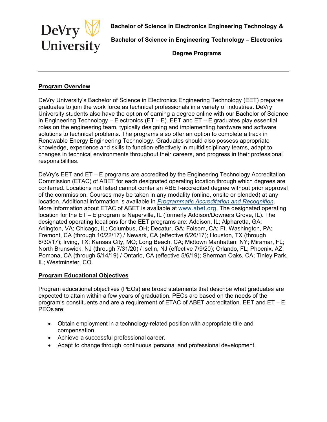<span id="page-13-0"></span>

**Bachelor of Science in Engineering Technology – Electronics** 

**Degree Programs**

## **Program Overview**

DeVry University's Bachelor of Science in Electronics Engineering Technology (EET) prepares graduates to join the work force as technical professionals in a variety of industries. DeVry University students also have the option of earning a degree online with our Bachelor of Science in Engineering Technology – Electronics ( $ET - E$ ). EET and  $ET - E$  graduates play essential roles on the engineering team, typically designing and implementing hardware and software solutions to technical problems. The programs also offer an option to complete a track in Renewable Energy Engineering Technology. Graduates should also possess appropriate knowledge, experience and skills to function effectively in multidisciplinary teams, adapt to changes in technical environments throughout their careers, and progress in their professional responsibilities.

DeVry's EET and ET – E programs are accredited by the Engineering Technology Accreditation Commission (ETAC) of ABET for each designated operating location through which degrees are conferred. Locations not listed cannot confer an ABET-accredited degree without prior approval of the commission. Courses may be taken in any modality (online, onsite or blended) at any location. Additional information is available in *[Programmatic Accreditation and Recognition](https://www.devry.edu/about/accreditation.html?intcmp=Home_midbotink_accreditation)*. More information about ETAC of ABET is available at [www.abet.org.](https://www.abet.org/) The designated operating location for the ET – E program is Naperville, IL (formerly Addison/Downers Grove, IL). The designated operating locations for the EET programs are: Addison, IL; Alpharetta, GA; Arlington, VA; Chicago, IL; Columbus, OH; Decatur, GA; Folsom, CA; Ft. Washington, PA; Fremont, CA (through 10/22/17) / Newark, CA (effective 6/26/17); Houston, TX (through 6/30/17); Irving, TX; Kansas City, MO; Long Beach, CA; Midtown Manhattan, NY; Miramar, FL; North Brunswick, NJ (through 7/31/20) / Iselin, NJ (effective 7/9/20); Orlando, FL; Phoenix, AZ; Pomona, CA (through 5/14/19) / Ontario, CA (effective 5/6/19); Sherman Oaks, CA; Tinley Park, IL; Westminster, CO.

## **Program Educational Objectives**

Program educational objectives (PEOs) are broad statements that describe what graduates are expected to attain within a few years of graduation. PEOs are based on the needs of the program's constituents and are a requirement of ETAC of ABET accreditation. EET and ET – E PEOs are:

- Obtain employment in a technology-related position with appropriate title and compensation.
- Achieve a successful professional career.
- Adapt to change through continuous personal and professional development.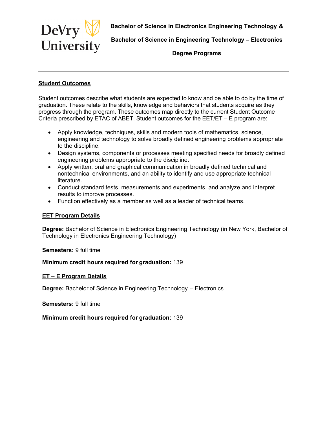

**Bachelor of Science in Engineering Technology – Electronics** 

**Degree Programs**

## **Student Outcomes**

Student outcomes describe what students are expected to know and be able to do by the time of graduation. These relate to the skills, knowledge and behaviors that students acquire as they progress through the program. These outcomes map directly to the current Student Outcome Criteria prescribed by ETAC of ABET. Student outcomes for the EET/ET – E program are:

- Apply knowledge, techniques, skills and modern tools of mathematics, science, engineering and technology to solve broadly defined engineering problems appropriate to the discipline.
- Design systems, components or processes meeting specified needs for broadly defined engineering problems appropriate to the discipline.
- Apply written, oral and graphical communication in broadly defined technical and nontechnical environments, and an ability to identify and use appropriate technical literature.
- Conduct standard tests, measurements and experiments, and analyze and interpret results to improve processes.
- Function effectively as a member as well as a leader of technical teams.

## **EET Program Details**

**Degree:** Bachelor of Science in Electronics Engineering Technology (in New York, Bachelor of Technology in Electronics Engineering Technology)

**Semesters:** 9 full time

## **Minimum credit hours required for graduation:** 139

#### **ET – E Program Details**

**Degree:** Bachelor of Science in Engineering Technology – Electronics

**Semesters:** 9 full time

#### **Minimum credit hours required for graduation:** 139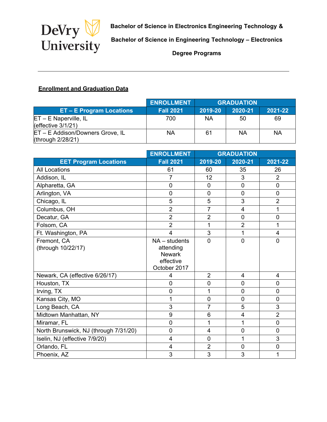

**Bachelor of Science in Engineering Technology – Electronics** 

**Degree Programs**

# **Enrollment and Graduation Data**

|                                                       | <b>ENROLLMENT</b> | <b>GRADUATION</b> |           |         |
|-------------------------------------------------------|-------------------|-------------------|-----------|---------|
| <b>ET - E Program Locations</b>                       | <b>Fall 2021</b>  | 2019-20           | 2020-21   | 2021-22 |
| ET - E Naperville, IL<br>(effective $3/1/21$ )        | 700               | ΝA                | 50        | 69      |
| ET - E Addison/Downers Grove, IL<br>(through 2/28/21) | NA                | 61                | <b>NA</b> | ΝA      |

|                                       | <b>ENROLLMENT</b>                                                          | <b>GRADUATION</b> |                |                |
|---------------------------------------|----------------------------------------------------------------------------|-------------------|----------------|----------------|
| <b>EET Program Locations</b>          | <b>Fall 2021</b>                                                           | 2019-20           | 2020-21        | 2021-22        |
| <b>All Locations</b>                  | 61                                                                         | 60                | 35             | 26             |
| Addison, IL                           | $\overline{7}$                                                             | 12                | 3              | $\overline{2}$ |
| Alpharetta, GA                        | 0                                                                          | $\mathbf 0$       | 0              | $\overline{0}$ |
| Arlington, VA                         | 0                                                                          | $\mathbf 0$       | $\overline{0}$ | $\overline{0}$ |
| Chicago, IL                           | 5                                                                          | 5                 | 3              | $\overline{2}$ |
| Columbus, OH                          | $\overline{2}$                                                             | 7                 | 4              | 1              |
| Decatur, GA                           | $\overline{2}$                                                             | $\overline{2}$    | $\mathbf 0$    | $\mathbf 0$    |
| Folsom, CA                            | $\overline{2}$                                                             | 1                 | $\overline{2}$ | 1              |
| Ft. Washington, PA                    | 4                                                                          | 3                 | 1              | 4              |
| Fremont, CA<br>(through 10/22/17)     | $NA - students$<br>attending<br><b>Newark</b><br>effective<br>October 2017 | $\overline{0}$    | $\overline{0}$ | $\Omega$       |
| Newark, CA (effective 6/26/17)        | 4                                                                          | $\overline{2}$    | 4              | 4              |
| Houston, TX                           | 0                                                                          | $\mathbf 0$       | $\overline{0}$ | $\overline{0}$ |
| Irving, TX                            | 0                                                                          | 1                 | 0              | $\overline{0}$ |
| Kansas City, MO                       | 1                                                                          | $\mathbf 0$       | $\overline{0}$ | $\overline{0}$ |
| Long Beach, CA                        | 3                                                                          | $\overline{7}$    | 5              | 3              |
| Midtown Manhattan, NY                 | 9                                                                          | 6                 | 4              | $\overline{2}$ |
| Miramar, FL                           | 0                                                                          | 1                 | 1              | $\mathbf 0$    |
| North Brunswick, NJ (through 7/31/20) | 0                                                                          | 4                 | $\overline{0}$ | $\Omega$       |
| Iselin, NJ (effective 7/9/20)         | 4                                                                          | $\mathbf 0$       | 1              | 3              |
| Orlando, FL                           | 4                                                                          | $\overline{2}$    | $\mathbf 0$    | $\mathbf 0$    |
| Phoenix, AZ                           | 3                                                                          | 3                 | 3              | 1              |